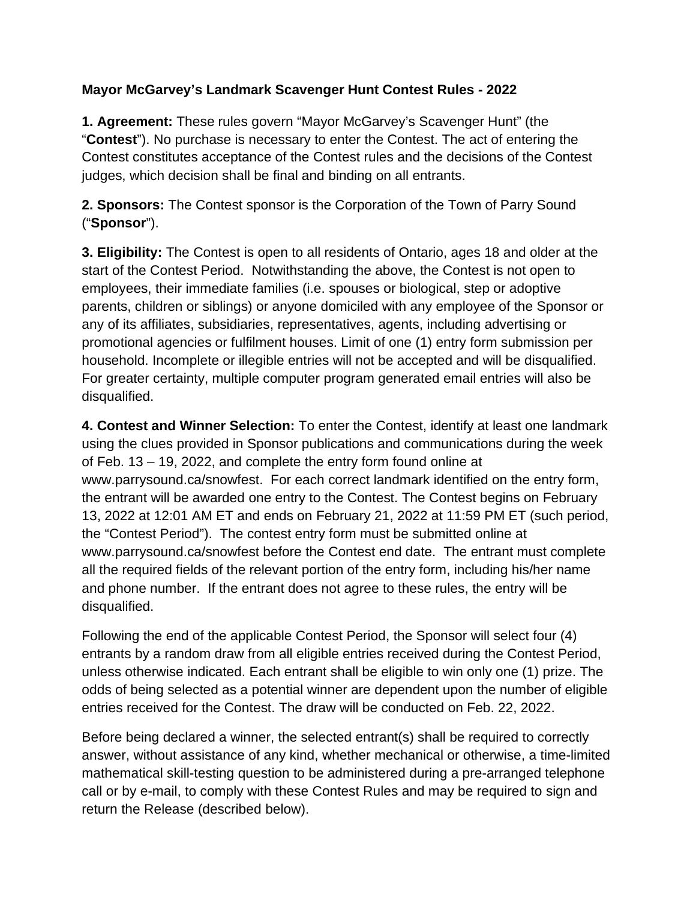## **Mayor McGarvey's Landmark Scavenger Hunt Contest Rules - 2022**

**1. Agreement:** These rules govern "Mayor McGarvey's Scavenger Hunt" (the "**Contest**"). No purchase is necessary to enter the Contest. The act of entering the Contest constitutes acceptance of the Contest rules and the decisions of the Contest judges, which decision shall be final and binding on all entrants.

**2. Sponsors:** The Contest sponsor is the Corporation of the Town of Parry Sound ("**Sponsor**").

**3. Eligibility:** The Contest is open to all residents of Ontario, ages 18 and older at the start of the Contest Period. Notwithstanding the above, the Contest is not open to employees, their immediate families (i.e. spouses or biological, step or adoptive parents, children or siblings) or anyone domiciled with any employee of the Sponsor or any of its affiliates, subsidiaries, representatives, agents, including advertising or promotional agencies or fulfilment houses. Limit of one (1) entry form submission per household. Incomplete or illegible entries will not be accepted and will be disqualified. For greater certainty, multiple computer program generated email entries will also be disqualified.

**4. Contest and Winner Selection:** To enter the Contest, identify at least one landmark using the clues provided in Sponsor publications and communications during the week of Feb. 13 – 19, 2022, and complete the entry form found online at www.parrysound.ca/snowfest. For each correct landmark identified on the entry form, the entrant will be awarded one entry to the Contest. The Contest begins on February 13, 2022 at 12:01 AM ET and ends on February 21, 2022 at 11:59 PM ET (such period, the "Contest Period"). The contest entry form must be submitted online at www.parrysound.ca/snowfest before the Contest end date. The entrant must complete all the required fields of the relevant portion of the entry form, including his/her name and phone number. If the entrant does not agree to these rules, the entry will be disqualified.

Following the end of the applicable Contest Period, the Sponsor will select four (4) entrants by a random draw from all eligible entries received during the Contest Period, unless otherwise indicated. Each entrant shall be eligible to win only one (1) prize. The odds of being selected as a potential winner are dependent upon the number of eligible entries received for the Contest. The draw will be conducted on Feb. 22, 2022.

Before being declared a winner, the selected entrant(s) shall be required to correctly answer, without assistance of any kind, whether mechanical or otherwise, a time-limited mathematical skill-testing question to be administered during a pre-arranged telephone call or by e-mail, to comply with these Contest Rules and may be required to sign and return the Release (described below).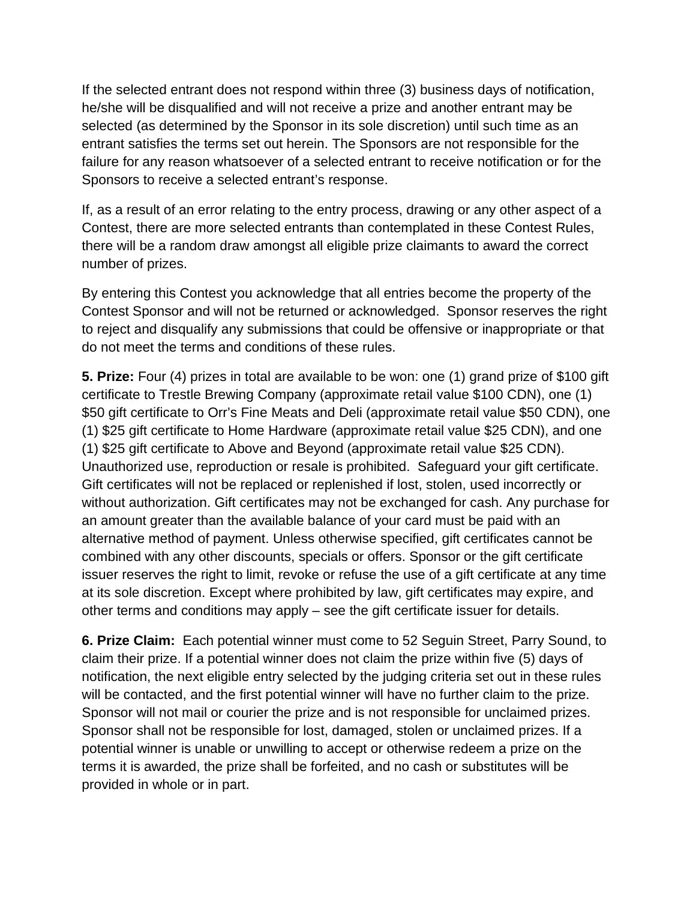If the selected entrant does not respond within three (3) business days of notification, he/she will be disqualified and will not receive a prize and another entrant may be selected (as determined by the Sponsor in its sole discretion) until such time as an entrant satisfies the terms set out herein. The Sponsors are not responsible for the failure for any reason whatsoever of a selected entrant to receive notification or for the Sponsors to receive a selected entrant's response.

If, as a result of an error relating to the entry process, drawing or any other aspect of a Contest, there are more selected entrants than contemplated in these Contest Rules, there will be a random draw amongst all eligible prize claimants to award the correct number of prizes.

By entering this Contest you acknowledge that all entries become the property of the Contest Sponsor and will not be returned or acknowledged. Sponsor reserves the right to reject and disqualify any submissions that could be offensive or inappropriate or that do not meet the terms and conditions of these rules.

**5. Prize:** Four (4) prizes in total are available to be won: one (1) grand prize of \$100 gift certificate to Trestle Brewing Company (approximate retail value \$100 CDN), one (1) \$50 gift certificate to Orr's Fine Meats and Deli (approximate retail value \$50 CDN), one (1) \$25 gift certificate to Home Hardware (approximate retail value \$25 CDN), and one (1) \$25 gift certificate to Above and Beyond (approximate retail value \$25 CDN). Unauthorized use, reproduction or resale is prohibited. Safeguard your gift certificate. Gift certificates will not be replaced or replenished if lost, stolen, used incorrectly or without authorization. Gift certificates may not be exchanged for cash. Any purchase for an amount greater than the available balance of your card must be paid with an alternative method of payment. Unless otherwise specified, gift certificates cannot be combined with any other discounts, specials or offers. Sponsor or the gift certificate issuer reserves the right to limit, revoke or refuse the use of a gift certificate at any time at its sole discretion. Except where prohibited by law, gift certificates may expire, and other terms and conditions may apply – see the gift certificate issuer for details.

**6. Prize Claim:** Each potential winner must come to 52 Seguin Street, Parry Sound, to claim their prize. If a potential winner does not claim the prize within five (5) days of notification, the next eligible entry selected by the judging criteria set out in these rules will be contacted, and the first potential winner will have no further claim to the prize. Sponsor will not mail or courier the prize and is not responsible for unclaimed prizes. Sponsor shall not be responsible for lost, damaged, stolen or unclaimed prizes. If a potential winner is unable or unwilling to accept or otherwise redeem a prize on the terms it is awarded, the prize shall be forfeited, and no cash or substitutes will be provided in whole or in part.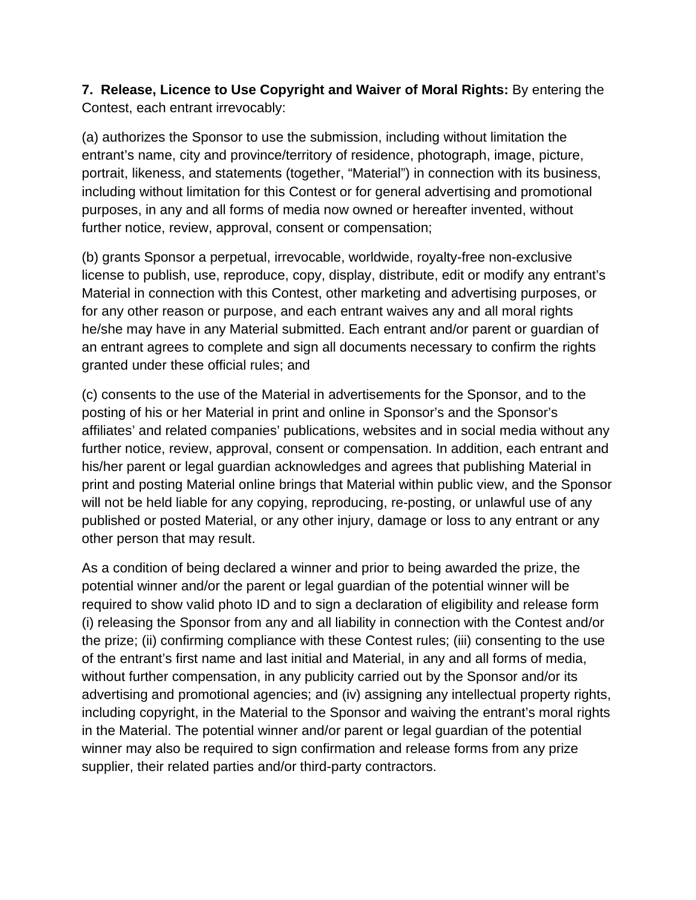**7. Release, Licence to Use Copyright and Waiver of Moral Rights:** By entering the Contest, each entrant irrevocably:

(a) authorizes the Sponsor to use the submission, including without limitation the entrant's name, city and province/territory of residence, photograph, image, picture, portrait, likeness, and statements (together, "Material") in connection with its business, including without limitation for this Contest or for general advertising and promotional purposes, in any and all forms of media now owned or hereafter invented, without further notice, review, approval, consent or compensation;

(b) grants Sponsor a perpetual, irrevocable, worldwide, royalty-free non-exclusive license to publish, use, reproduce, copy, display, distribute, edit or modify any entrant's Material in connection with this Contest, other marketing and advertising purposes, or for any other reason or purpose, and each entrant waives any and all moral rights he/she may have in any Material submitted. Each entrant and/or parent or guardian of an entrant agrees to complete and sign all documents necessary to confirm the rights granted under these official rules; and

(c) consents to the use of the Material in advertisements for the Sponsor, and to the posting of his or her Material in print and online in Sponsor's and the Sponsor's affiliates' and related companies' publications, websites and in social media without any further notice, review, approval, consent or compensation. In addition, each entrant and his/her parent or legal guardian acknowledges and agrees that publishing Material in print and posting Material online brings that Material within public view, and the Sponsor will not be held liable for any copying, reproducing, re-posting, or unlawful use of any published or posted Material, or any other injury, damage or loss to any entrant or any other person that may result.

As a condition of being declared a winner and prior to being awarded the prize, the potential winner and/or the parent or legal guardian of the potential winner will be required to show valid photo ID and to sign a declaration of eligibility and release form (i) releasing the Sponsor from any and all liability in connection with the Contest and/or the prize; (ii) confirming compliance with these Contest rules; (iii) consenting to the use of the entrant's first name and last initial and Material, in any and all forms of media, without further compensation, in any publicity carried out by the Sponsor and/or its advertising and promotional agencies; and (iv) assigning any intellectual property rights, including copyright, in the Material to the Sponsor and waiving the entrant's moral rights in the Material. The potential winner and/or parent or legal guardian of the potential winner may also be required to sign confirmation and release forms from any prize supplier, their related parties and/or third-party contractors.